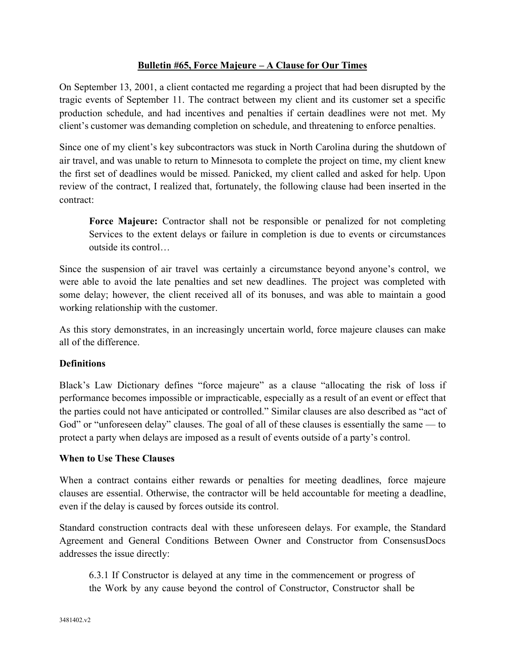## **Bulletin #65, Force Majeure – A Clause for Our Times**

 tragic events of September 11. The contract between my client and its customer set a specific client's customer was demanding completion on schedule, and threatening to enforce penalties. On September 13, 2001, a client contacted me regarding a project that had been disrupted by the production schedule, and had incentives and penalties if certain deadlines were not met. My

Since one of my client's key subcontractors was stuck in North Carolina during the shutdown of air travel, and was unable to return to Minnesota to complete the project on time, my client knew the first set of deadlines would be missed. Panicked, my client called and asked for help. Upon review of the contract, I realized that, fortunately, the following clause had been inserted in the contract:

 outside its control… **Force Majeure:** Contractor shall not be responsible or penalized for not completing Services to the extent delays or failure in completion is due to events or circumstances

 Since the suspension of air travel was certainly a circumstance beyond anyone's control, we were able to avoid the late penalties and set new deadlines. The project was completed with working relationship with the customer. some delay; however, the client received all of its bonuses, and was able to maintain a good

 As this story demonstrates, in an increasingly uncertain world, force majeure clauses can make all of the difference.

## **Definitions**

 Black's Law Dictionary defines "force majeure" as a clause "allocating the risk of loss if God" or "unforeseen delay" clauses. The goal of all of these clauses is essentially the same — to protect a party when delays are imposed as a result of events outside of a party's control. performance becomes impossible or impracticable, especially as a result of an event or effect that the parties could not have anticipated or controlled." Similar clauses are also described as "act of

#### **When to Use These Clauses**

 When a contract contains either rewards or penalties for meeting deadlines, force majeure even if the delay is caused by forces outside its control. clauses are essential. Otherwise, the contractor will be held accountable for meeting a deadline,

 Agreement and General Conditions Between Owner and Constructor from ConsensusDocs addresses the issue directly: Standard construction contracts deal with these unforeseen delays. For example, the Standard

 6.3.1 If Constructor is delayed at any time in the commencement or progress of the Work by any cause beyond the control of Constructor, Constructor shall be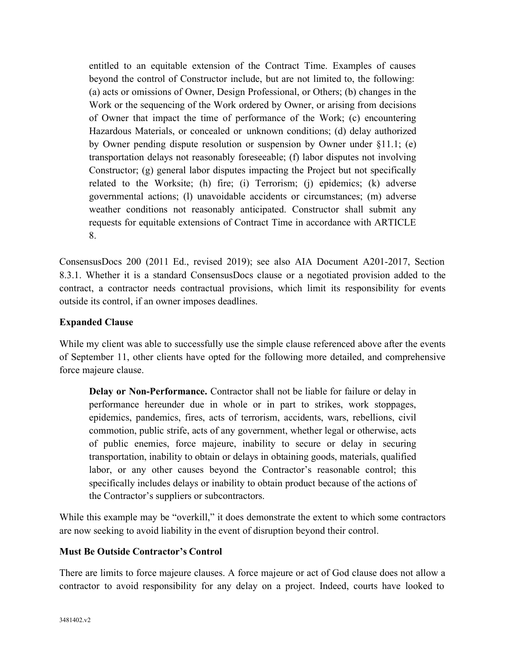entitled to an equitable extension of the Contract Time. Examples of causes beyond the control of Constructor include, but are not limited to, the following: Hazardous Materials, or concealed or unknown conditions; (d) delay authorized related to the Worksite; (h) fire; (i) Terrorism; (j) epidemics; (k) adverse weather conditions not reasonably anticipated. Constructor shall submit any (a) acts or omissions of Owner, Design Professional, or Others; (b) changes in the Work or the sequencing of the Work ordered by Owner, or arising from decisions of Owner that impact the time of performance of the Work; (c) encountering by Owner pending dispute resolution or suspension by Owner under §11.1; (e) transportation delays not reasonably foreseeable; (f) labor disputes not involving Constructor; (g) general labor disputes impacting the Project but not specifically governmental actions; (l) unavoidable accidents or circumstances; (m) adverse requests for equitable extensions of Contract Time in accordance with ARTICLE 8.

 ConsensusDocs 200 (2011 Ed., revised 2019); see also AIA Document A201-2017, Section contract, a contractor needs contractual provisions, which limit its responsibility for events outside its control, if an owner imposes deadlines. 8.3.1. Whether it is a standard ConsensusDocs clause or a negotiated provision added to the

# **Expanded Clause**

 force majeure clause. While my client was able to successfully use the simple clause referenced above after the events of September 11, other clients have opted for the following more detailed, and comprehensive

 performance hereunder due in whole or in part to strikes, work stoppages, of public enemies, force majeure, inability to secure or delay in securing labor, or any other causes beyond the Contractor's reasonable control; this the Contractor's suppliers or subcontractors. **Delay or Non-Performance.** Contractor shall not be liable for failure or delay in epidemics, pandemics, fires, acts of terrorism, accidents, wars, rebellions, civil commotion, public strife, acts of any government, whether legal or otherwise, acts transportation, inability to obtain or delays in obtaining goods, materials, qualified specifically includes delays or inability to obtain product because of the actions of

While this example may be "overkill," it does demonstrate the extent to which some contractors are now seeking to avoid liability in the event of disruption beyond their control.

## **Must Be Outside Contractor's Control**

 contractor to avoid responsibility for any delay on a project. Indeed, courts have looked to There are limits to force majeure clauses. A force majeure or act of God clause does not allow a